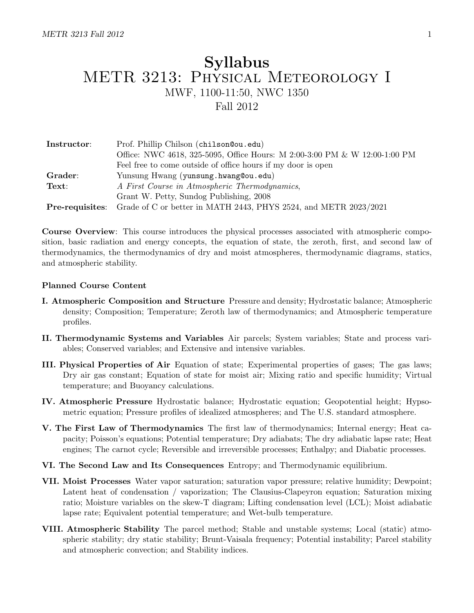# Syllabus METR 3213: Physical Meteorology I MWF, 1100-11:50, NWC 1350 Fall 2012

| Instructor:                      | Prof. Phillip Chilson (chilson@ou.edu)                                     |  |  |  |
|----------------------------------|----------------------------------------------------------------------------|--|--|--|
|                                  | Office: NWC 4618, 325-5095, Office Hours: M 2:00-3:00 PM & W 12:00-1:00 PM |  |  |  |
|                                  | Feel free to come outside of office hours if my door is open               |  |  |  |
| Grader:                          | Yunsung Hwang (yunsung.hwang@ou.edu)                                       |  |  |  |
| $\operatorname{\mathbf{Text}}$ : | A First Course in Atmospheric Thermodynamics,                              |  |  |  |
|                                  | Grant W. Petty, Sundog Publishing, 2008                                    |  |  |  |
| Pre-requisites:                  | Grade of C or better in MATH 2443, PHYS 2524, and METR 2023/2021           |  |  |  |

Course Overview: This course introduces the physical processes associated with atmospheric composition, basic radiation and energy concepts, the equation of state, the zeroth, first, and second law of thermodynamics, the thermodynamics of dry and moist atmospheres, thermodynamic diagrams, statics, and atmospheric stability.

#### Planned Course Content

- I. Atmospheric Composition and Structure Pressure and density; Hydrostatic balance; Atmospheric density; Composition; Temperature; Zeroth law of thermodynamics; and Atmospheric temperature profiles.
- II. Thermodynamic Systems and Variables Air parcels; System variables; State and process variables; Conserved variables; and Extensive and intensive variables.
- III. Physical Properties of Air Equation of state; Experimental properties of gases; The gas laws; Dry air gas constant; Equation of state for moist air; Mixing ratio and specific humidity; Virtual temperature; and Buoyancy calculations.
- IV. Atmospheric Pressure Hydrostatic balance; Hydrostatic equation; Geopotential height; Hypsometric equation; Pressure profiles of idealized atmospheres; and The U.S. standard atmosphere.
- V. The First Law of Thermodynamics The first law of thermodynamics; Internal energy; Heat capacity; Poisson's equations; Potential temperature; Dry adiabats; The dry adiabatic lapse rate; Heat engines; The carnot cycle; Reversible and irreversible processes; Enthalpy; and Diabatic processes.
- VI. The Second Law and Its Consequences Entropy; and Thermodynamic equilibrium.
- VII. Moist Processes Water vapor saturation; saturation vapor pressure; relative humidity; Dewpoint; Latent heat of condensation / vaporization; The Clausius-Clapeyron equation; Saturation mixing ratio; Moisture variables on the skew-T diagram; Lifting condensation level (LCL); Moist adiabatic lapse rate; Equivalent potential temperature; and Wet-bulb temperature.
- VIII. Atmospheric Stability The parcel method; Stable and unstable systems; Local (static) atmospheric stability; dry static stability; Brunt-Vaisala frequency; Potential instability; Parcel stability and atmospheric convection; and Stability indices.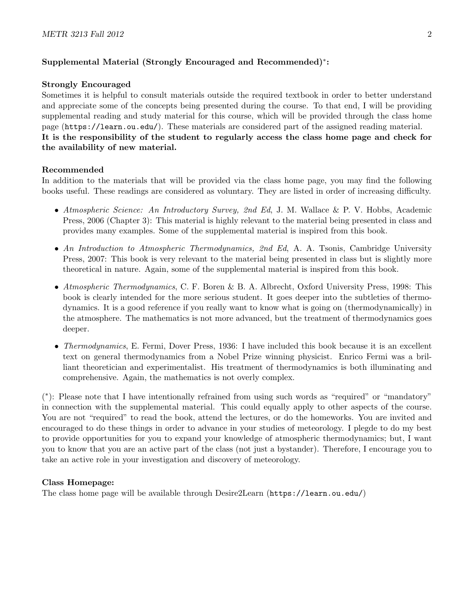# Supplemental Material (Strongly Encouraged and Recommended)<sup>∗</sup> :

#### Strongly Encouraged

Sometimes it is helpful to consult materials outside the required textbook in order to better understand and appreciate some of the concepts being presented during the course. To that end, I will be providing supplemental reading and study material for this course, which will be provided through the class home page (https://learn.ou.edu/). These materials are considered part of the assigned reading material. It is the responsibility of the student to regularly access the class home page and check for the availability of new material.

#### Recommended

In addition to the materials that will be provided via the class home page, you may find the following books useful. These readings are considered as voluntary. They are listed in order of increasing difficulty.

- Atmospheric Science: An Introductory Survey, 2nd Ed, J. M. Wallace & P. V. Hobbs, Academic Press, 2006 (Chapter 3): This material is highly relevant to the material being presented in class and provides many examples. Some of the supplemental material is inspired from this book.
- An Introduction to Atmospheric Thermodynamics, 2nd Ed, A. A. Tsonis, Cambridge University Press, 2007: This book is very relevant to the material being presented in class but is slightly more theoretical in nature. Again, some of the supplemental material is inspired from this book.
- Atmospheric Thermodynamics, C. F. Boren & B. A. Albrecht, Oxford University Press, 1998: This book is clearly intended for the more serious student. It goes deeper into the subtleties of thermodynamics. It is a good reference if you really want to know what is going on (thermodynamically) in the atmosphere. The mathematics is not more advanced, but the treatment of thermodynamics goes deeper.
- Thermodynamics, E. Fermi, Dover Press, 1936: I have included this book because it is an excellent text on general thermodynamics from a Nobel Prize winning physicist. Enrico Fermi was a brilliant theoretician and experimentalist. His treatment of thermodynamics is both illuminating and comprehensive. Again, the mathematics is not overly complex.

( ∗ ): Please note that I have intentionally refrained from using such words as "required" or "mandatory" in connection with the supplemental material. This could equally apply to other aspects of the course. You are not "required" to read the book, attend the lectures, or do the homeworks. You are invited and encouraged to do these things in order to advance in your studies of meteorology. I plegde to do my best to provide opportunities for you to expand your knowledge of atmospheric thermodynamics; but, I want you to know that you are an active part of the class (not just a bystander). Therefore, I encourage you to take an active role in your investigation and discovery of meteorology.

## Class Homepage:

The class home page will be available through Desire2Learn (https://learn.ou.edu/)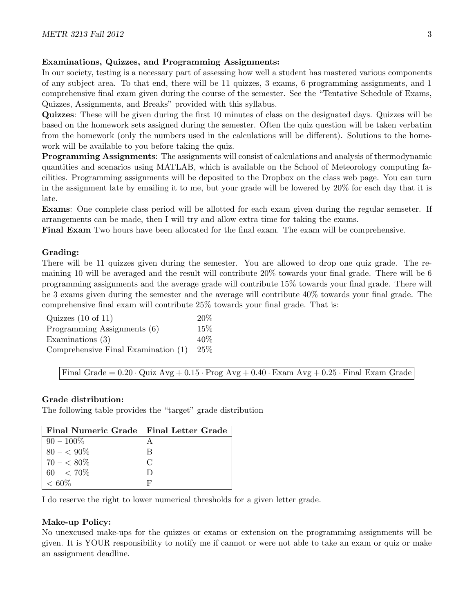# Examinations, Quizzes, and Programming Assignments:

In our society, testing is a necessary part of assessing how well a student has mastered various components of any subject area. To that end, there will be 11 quizzes, 3 exams, 6 programming assignments, and 1 comprehensive final exam given during the course of the semester. See the "Tentative Schedule of Exams, Quizzes, Assignments, and Breaks" provided with this syllabus.

Quizzes: These will be given during the first 10 minutes of class on the designated days. Quizzes will be based on the homework sets assigned during the semester. Often the quiz question will be taken verbatim from the homework (only the numbers used in the calculations will be different). Solutions to the homework will be available to you before taking the quiz.

Programming Assignments: The assignments will consist of calculations and analysis of thermodynamic quantities and scenarios using MATLAB, which is available on the School of Meteorology computing facilities. Programming assignments will be deposited to the Dropbox on the class web page. You can turn in the assignment late by emailing it to me, but your grade will be lowered by 20% for each day that it is late.

Exams: One complete class period will be allotted for each exam given during the regular semseter. If arrangements can be made, then I will try and allow extra time for taking the exams.

Final Exam Two hours have been allocated for the final exam. The exam will be comprehensive.

## Grading:

There will be 11 quizzes given during the semester. You are allowed to drop one quiz grade. The remaining 10 will be averaged and the result will contribute 20% towards your final grade. There will be 6 programming assignments and the average grade will contribute 15% towards your final grade. There will be 3 exams given during the semester and the average will contribute 40% towards your final grade. The comprehensive final exam will contribute 25% towards your final grade. That is:

| Quizzes $(10 \text{ of } 11)$             |     |  |
|-------------------------------------------|-----|--|
| Programming Assignments (6)               | 15% |  |
| Examinations $(3)$                        | 40% |  |
| Comprehensive Final Examination $(1)$ 25% |     |  |

Final Grade  $= 0.20 \cdot \text{Quiz Avg} + 0.15 \cdot \text{Prog Avg} + 0.40 \cdot \text{Exam Avg} + 0.25 \cdot \text{Final Exam Grade}$ 

#### Grade distribution:

The following table provides the "target" grade distribution

| Final Numeric Grade   Final Letter Grade |  |
|------------------------------------------|--|
| $90 - 100\%$                             |  |
| $80 - 5.90\%$                            |  |
| $70 - 5.80\%$                            |  |
| $60 - 570\%$                             |  |
| ${}< 60\%$                               |  |

I do reserve the right to lower numerical thresholds for a given letter grade.

#### Make-up Policy:

No unexcused make-ups for the quizzes or exams or extension on the programming assignments will be given. It is YOUR responsibility to notify me if cannot or were not able to take an exam or quiz or make an assignment deadline.